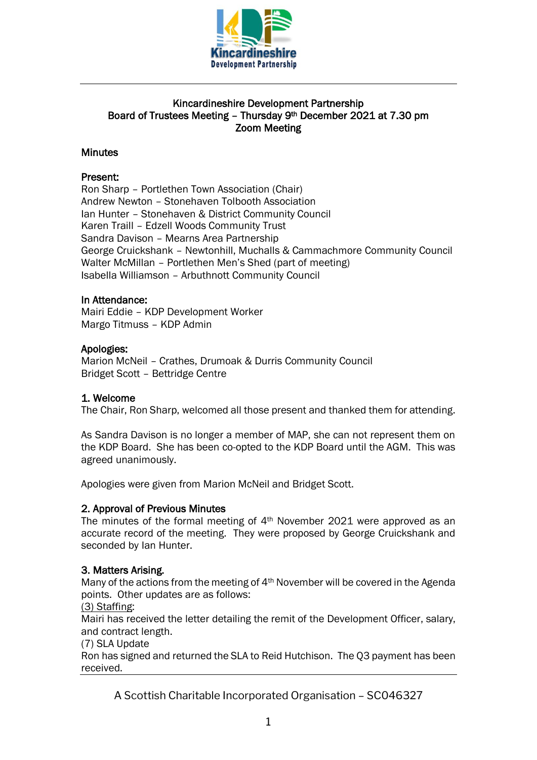

# Kincardineshire Development Partnership Board of Trustees Meeting – Thursday 9th December 2021 at 7.30 pm Zoom Meeting

# **Minutes**

## Present:

Ron Sharp – Portlethen Town Association (Chair) Andrew Newton – Stonehaven Tolbooth Association Ian Hunter – Stonehaven & District Community Council Karen Traill – Edzell Woods Community Trust Sandra Davison – Mearns Area Partnership George Cruickshank – Newtonhill, Muchalls & Cammachmore Community Council Walter McMillan – Portlethen Men's Shed (part of meeting) Isabella Williamson – Arbuthnott Community Council

## In Attendance:

Mairi Eddie – KDP Development Worker Margo Titmuss – KDP Admin

## Apologies:

Marion McNeil – Crathes, Drumoak & Durris Community Council Bridget Scott – Bettridge Centre

# 1. Welcome

The Chair, Ron Sharp, welcomed all those present and thanked them for attending.

As Sandra Davison is no longer a member of MAP, she can not represent them on the KDP Board. She has been co-opted to the KDP Board until the AGM. This was agreed unanimously.

Apologies were given from Marion McNeil and Bridget Scott.

## 2. Approval of Previous Minutes

The minutes of the formal meeting of 4th November 2021 were approved as an accurate record of the meeting. They were proposed by George Cruickshank and seconded by Ian Hunter.

## 3. Matters Arising.

Many of the actions from the meeting of 4th November will be covered in the Agenda points. Other updates are as follows:

(3) Staffing:

Mairi has received the letter detailing the remit of the Development Officer, salary, and contract length.

(7) SLA Update

Ron has signed and returned the SLA to Reid Hutchison. The Q3 payment has been received.

A Scottish Charitable Incorporated Organisation – SC046327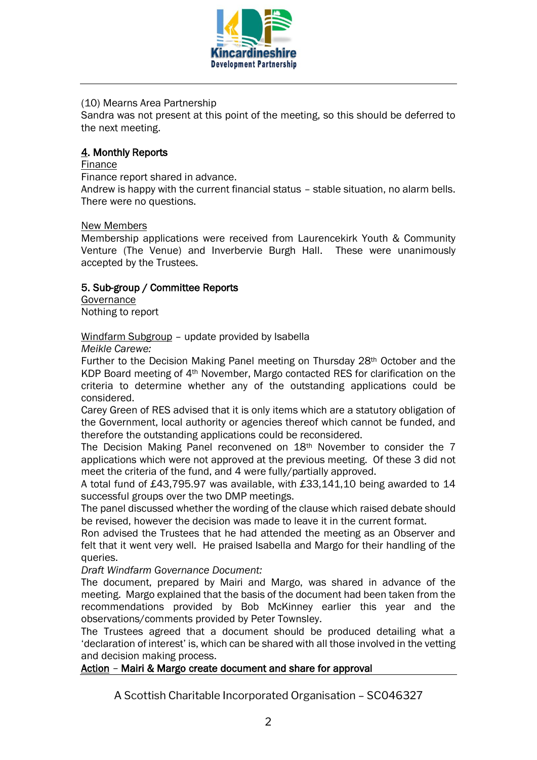

## (10) Mearns Area Partnership

Sandra was not present at this point of the meeting, so this should be deferred to the next meeting.

## 4. Monthly Reports

#### Finance

Finance report shared in advance.

Andrew is happy with the current financial status – stable situation, no alarm bells. There were no questions.

## New Members

Membership applications were received from Laurencekirk Youth & Community Venture (The Venue) and Inverbervie Burgh Hall. These were unanimously accepted by the Trustees.

## 5. Sub-group / Committee Reports

**Governance** Nothing to report

Windfarm Subgroup – update provided by Isabella

*Meikle Carewe:*

Further to the Decision Making Panel meeting on Thursday 28th October and the KDP Board meeting of 4th November, Margo contacted RES for clarification on the criteria to determine whether any of the outstanding applications could be considered.

Carey Green of RES advised that it is only items which are a statutory obligation of the Government, local authority or agencies thereof which cannot be funded, and therefore the outstanding applications could be reconsidered.

The Decision Making Panel reconvened on 18th November to consider the 7 applications which were not approved at the previous meeting. Of these 3 did not meet the criteria of the fund, and 4 were fully/partially approved.

A total fund of £43,795.97 was available, with £33,141,10 being awarded to 14 successful groups over the two DMP meetings.

The panel discussed whether the wording of the clause which raised debate should be revised, however the decision was made to leave it in the current format.

Ron advised the Trustees that he had attended the meeting as an Observer and felt that it went very well. He praised Isabella and Margo for their handling of the queries.

*Draft Windfarm Governance Document:*

The document, prepared by Mairi and Margo, was shared in advance of the meeting. Margo explained that the basis of the document had been taken from the recommendations provided by Bob McKinney earlier this year and the observations/comments provided by Peter Townsley.

The Trustees agreed that a document should be produced detailing what a 'declaration of interest' is, which can be shared with all those involved in the vetting and decision making process.

# Action – Mairi & Margo create document and share for approval

A Scottish Charitable Incorporated Organisation – SC046327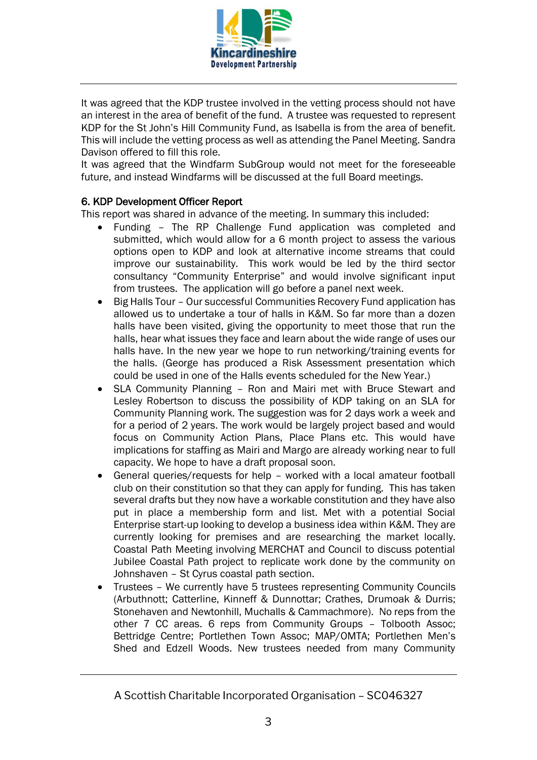

It was agreed that the KDP trustee involved in the vetting process should not have an interest in the area of benefit of the fund. A trustee was requested to represent KDP for the St John's Hill Community Fund, as Isabella is from the area of benefit. This will include the vetting process as well as attending the Panel Meeting. Sandra Davison offered to fill this role.

It was agreed that the Windfarm SubGroup would not meet for the foreseeable future, and instead Windfarms will be discussed at the full Board meetings.

# 6. KDP Development Officer Report

This report was shared in advance of the meeting. In summary this included:

- Funding The RP Challenge Fund application was completed and submitted, which would allow for a 6 month project to assess the various options open to KDP and look at alternative income streams that could improve our sustainability. This work would be led by the third sector consultancy "Community Enterprise" and would involve significant input from trustees. The application will go before a panel next week.
- Big Halls Tour Our successful Communities Recovery Fund application has allowed us to undertake a tour of halls in K&M. So far more than a dozen halls have been visited, giving the opportunity to meet those that run the halls, hear what issues they face and learn about the wide range of uses our halls have. In the new year we hope to run networking/training events for the halls. (George has produced a Risk Assessment presentation which could be used in one of the Halls events scheduled for the New Year.)
- SLA Community Planning Ron and Mairi met with Bruce Stewart and Lesley Robertson to discuss the possibility of KDP taking on an SLA for Community Planning work. The suggestion was for 2 days work a week and for a period of 2 years. The work would be largely project based and would focus on Community Action Plans, Place Plans etc. This would have implications for staffing as Mairi and Margo are already working near to full capacity. We hope to have a draft proposal soon.
- General queries/requests for help worked with a local amateur football club on their constitution so that they can apply for funding. This has taken several drafts but they now have a workable constitution and they have also put in place a membership form and list. Met with a potential Social Enterprise start-up looking to develop a business idea within K&M. They are currently looking for premises and are researching the market locally. Coastal Path Meeting involving MERCHAT and Council to discuss potential Jubilee Coastal Path project to replicate work done by the community on Johnshaven – St Cyrus coastal path section.
- Trustees We currently have 5 trustees representing Community Councils (Arbuthnott; Catterline, Kinneff & Dunnottar; Crathes, Drumoak & Durris; Stonehaven and Newtonhill, Muchalls & Cammachmore). No reps from the other 7 CC areas. 6 reps from Community Groups – Tolbooth Assoc; Bettridge Centre; Portlethen Town Assoc; MAP/OMTA; Portlethen Men's Shed and Edzell Woods. New trustees needed from many Community

A Scottish Charitable Incorporated Organisation – SC046327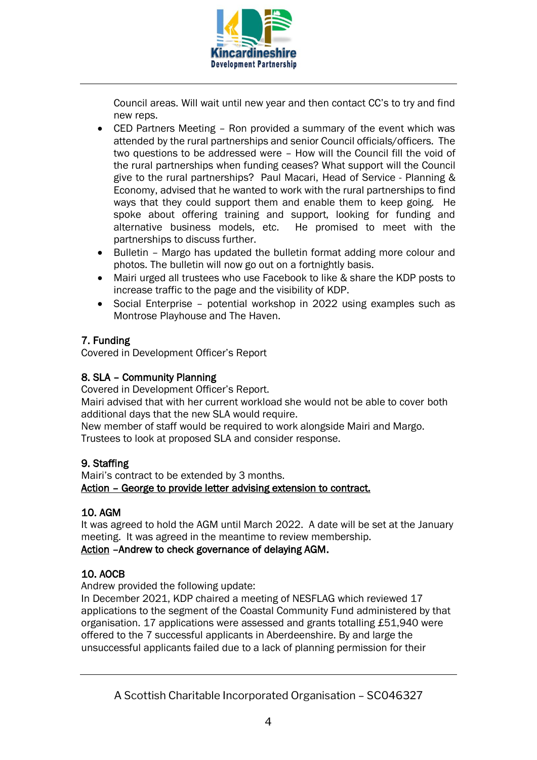

Council areas. Will wait until new year and then contact CC's to try and find new reps.

- CED Partners Meeting Ron provided a summary of the event which was attended by the rural partnerships and senior Council officials/officers. The two questions to be addressed were – How will the Council fill the void of the rural partnerships when funding ceases? What support will the Council give to the rural partnerships? Paul Macari, Head of Service - Planning & Economy, advised that he wanted to work with the rural partnerships to find ways that they could support them and enable them to keep going. He spoke about offering training and support, looking for funding and alternative business models, etc. He promised to meet with the partnerships to discuss further.
- Bulletin Margo has updated the bulletin format adding more colour and photos. The bulletin will now go out on a fortnightly basis.
- Mairi urged all trustees who use Facebook to like & share the KDP posts to increase traffic to the page and the visibility of KDP.
- Social Enterprise potential workshop in 2022 using examples such as Montrose Playhouse and The Haven.

# 7. Funding

Covered in Development Officer's Report

# 8. SLA – Community Planning

Covered in Development Officer's Report. Mairi advised that with her current workload she would not be able to cover both additional days that the new SLA would require.

New member of staff would be required to work alongside Mairi and Margo. Trustees to look at proposed SLA and consider response.

# 9. Staffing

Mairi's contract to be extended by 3 months. Action – George to provide letter advising extension to contract.

# 10. AGM

It was agreed to hold the AGM until March 2022. A date will be set at the January meeting. It was agreed in the meantime to review membership. Action –Andrew to check governance of delaying AGM.

# 10. AOCB

Andrew provided the following update:

In December 2021, KDP chaired a meeting of NESFLAG which reviewed 17 applications to the segment of the Coastal Community Fund administered by that organisation. 17 applications were assessed and grants totalling £51,940 were offered to the 7 successful applicants in Aberdeenshire. By and large the unsuccessful applicants failed due to a lack of planning permission for their